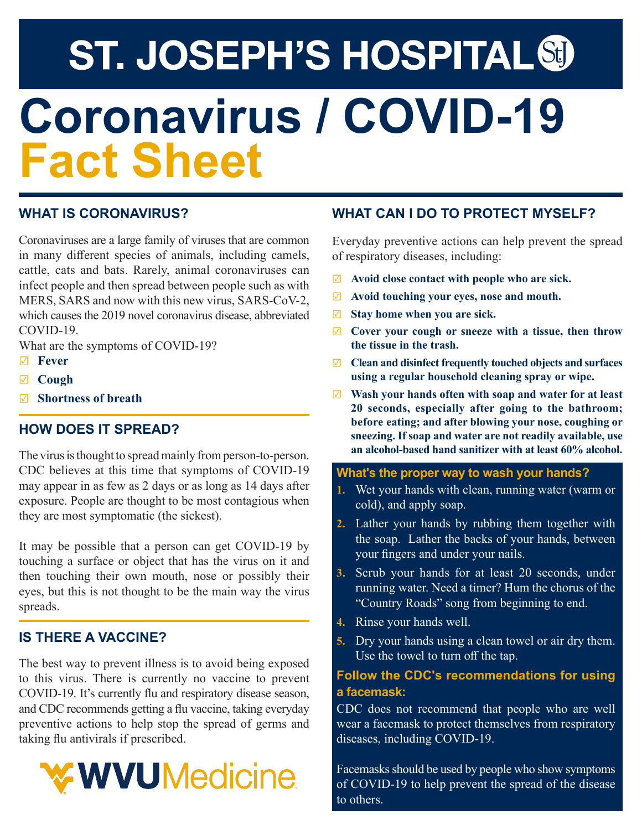# **ST. JOSEPH'S HOSPITAL &D Coronavirus / COVID-19 Fact Sheet**

#### **WHAT IS CORONAVIRUS?**

Coronaviruses are a large family of viruses that are common in many different species of animals, including camels, cattle, cats and bats. Rarely, animal coronaviruses can infect people and then spread between people such as with MERS, SARS and now with this new virus, SARS-CoV-2, which causes the 2019 novel coronavirus disease, abbreviated COVID-19.

What are the symptoms of COVID-19?

- ☑ **Fever**
- ☑ **Cough**
- ☑ **Shortness of breath**

#### **HOW DOES IT SPREAD?**

The virus is thought to spread mainly from person-to-person. CDC believes at this time that symptoms of COVID-19 may appear in as few as 2 days or as long as 14 days after exposure. People are thought to be most contagious when they are most symptomatic (the sickest).

It may be possible that a person can get COVID-19 by touching a surface or object that has the virus on it and then touching their own mouth, nose or possibly their eyes, but this is not thought to be the main way the virus spreads.

#### **IS THERE A VACCINE?**

The best way to prevent illness is to avoid being exposed to this virus. There is currently no vaccine to prevent COVID-19. It's currently flu and respiratory disease season, and CDC recommends getting a flu vaccine, taking everyday preventive actions to help stop the spread of germs and taking flu antivirals if prescribed.



#### **WHAT CAN I DO TO PROTECT MYSELF?**

Everyday preventive actions can help prevent the spread of respiratory diseases, including:

- ☑ **Avoid close contact with people who are sick.**
- ☑ **Avoid touching your eyes, nose and mouth.**
- ☑ **Stay home when you are sick.**
- ☑ **Cover your cough or sneeze with a tissue, then throw the tissue in the trash.**
- ☑ **Clean and disinfect frequently touched objects and surfaces using a regular household cleaning spray or wipe.**
- ☑ **Wash your hands often with soap and water for at least 20 seconds, especially after going to the bathroom; before eating; and after blowing your nose, coughing or sneezing. If soap and water are not readily available, use an alcohol-based hand sanitizer with at least 60% alcohol.**

#### **What's the proper way to wash your hands?**

- **1.** Wet your hands with clean, running water (warm or cold), and apply soap.
- **2.** Lather your hands by rubbing them together with the soap. Lather the backs of your hands, between your fingers and under your nails.
- **3.** Scrub your hands for at least 20 seconds, under running water. Need a timer? Hum the chorus of the "Country Roads" song from beginning to end.
- **4.** Rinse your hands well.
- **5.** Dry your hands using a clean towel or air dry them. Use the towel to turn off the tap.

#### **Follow the CDC's recommendations for using a facemask:**

CDC does not recommend that people who are well wear a facemask to protect themselves from respiratory diseases, including COVID-19.

Facemasks should be used by people who show symptoms of COVID-19 to help prevent the spread of the disease to others.